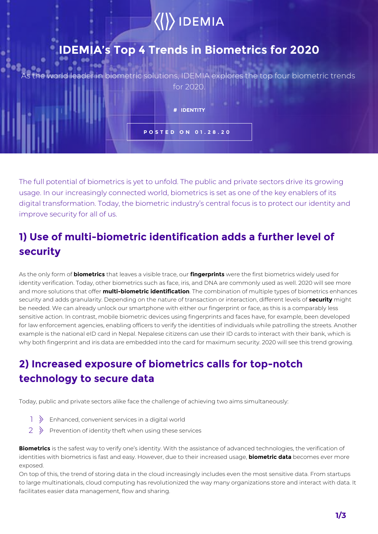# $\langle\langle\rangle\rangle$  IDEMIA

## **IDEMIA's Top 4 Trends in Biometrics for 2020**

leader in biometric solutions, IDEMIA explores the top four biometric trends for 2020.

> **# IDENTITY POSTED ON 01.28.20**

The full potential of biometrics is yet to unfold. The public and private sectors drive its growing usage. In our increasingly connected world, biometrics is set as one of the key enablers of its digital transformation. Today, the biometric industry's central focus is to protect our identity and improve security for all of us.

## **1) Use of multi-biometric identification adds a further level of security**

As the only form of **biometrics** that leaves a visible trace, our **fingerprints** were the first biometrics widely used for identity verification. Today, other biometrics such as face, iris, and DNA are commonly used as well. 2020 will see more and more solutions that offer **multi-biometric identification**. The combination of multiple types of biometrics enhances security and adds granularity. Depending on the nature of transaction or interaction, different levels of **security** might be needed. We can already unlock our smartphone with either our fingerprint or face, as this is a comparably less sensitive action. In contrast, mobile biometric devices using fingerprints and faces have, for example, been developed for law enforcement agencies, enabling officers to verify the identities of individuals while patrolling the streets. Another example is the national eID card in Nepal. Nepalese citizens can use their ID cards to interact with their bank, which is why both fingerprint and iris data are embedded into the card for maximum security. 2020 will see this trend growing.

## **2) Increased exposure of biometrics calls for top-notch technology to secure data**

Today, public and private sectors alike face the challenge of achieving two aims simultaneously:

- $\left| \right\rangle$  Enhanced, convenient services in a digital world
- $2 \rightarrow$  Prevention of identity theft when using these services

**Biometrics** is the safest way to verify one's identity. With the assistance of advanced technologies, the verification of identities with biometrics is fast and easy. However, due to their increased usage, **biometric data** becomes ever more exposed.

On top of this, the trend of storing data in the cloud increasingly includes even the most sensitive data. From startups to large multinationals, cloud computing has revolutionized the way many organizations store and interact with data. It facilitates easier data management, flow and sharing.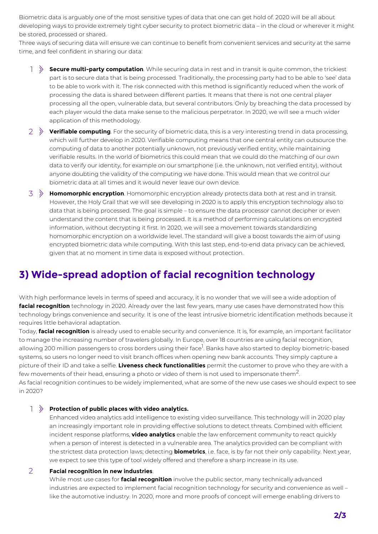Biometric data is arguably one of the most sensitive types of data that one can get hold of. 2020 will be all about developing ways to provide extremely tight cyber security to protect biometric data – in the cloud or wherever it might be stored, processed or shared.

Three ways of securing data will ensure we can continue to benefit from convenient services and security at the same time, and feel confident in sharing our data:

- **Secure multi-party computation**. While securing data in rest and in transit is quite common, the trickiest part is to secure data that is being processed. Traditionally, the processing party had to be able to 'see' data to be able to work with it. The risk connected with this method is significantly reduced when the work of processing the data is shared between different parties. It means that there is not one central player processing all the open, vulnerable data, but several contributors. Only by breaching the data processed by each player would the data make sense to the malicious perpetrator. In 2020, we will see a much wider application of this methodology.  $1 \rightarrow$
- **Verifiable computing**. For the security of biometric data, this is a very interesting trend in data processing, 2 which will further develop in 2020. Verifiable computing means that one central entity can outsource the computing of data to another potentially unknown, not previously verified entity, while maintaining verifiable results. In the world of biometrics this could mean that we could do the matching of our own data to verify our identity, for example on our smartphone (i.e. the unknown, not verified entity), without anyone doubting the validity of the computing we have done. This would mean that we control our biometric data at all times and it would never leave our own device.
- **Homomorphic encryption**. Homomorphic encryption already protects data both at rest and in transit. 3 However, the Holy Grail that we will see developing in 2020 is to apply this encryption technology also to data that is being processed. The goal is simple – to ensure the data processor cannot decipher or even understand the content that is being processed. It is a method of performing calculations on encrypted information, without decrypting it first. In 2020, we will see a movement towards standardizing homomorphic encryption on a worldwide level. The standard will give a boost towards the aim of using encrypted biometric data while computing. With this last step, end-to-end data privacy can be achieved, given that at no moment in time data is exposed without protection.

#### **3) Wide-spread adoption of facial recognition technology**

With high performance levels in terms of speed and accuracy, it is no wonder that we will see a wide adoption of **facial recognition** technology in 2020. Already over the last few years, many use cases have demonstrated how this technology brings convenience and security. It is one of the least intrusive biometric identification methods because it requires little behavioral adaptation.

Today, **facial recognition** is already used to enable security and convenience. It is, for example, an important facilitator to manage the increasing number of travelers globally. In Europe, over 18 countries are using facial recognition, allowing 200 million passengers to cross borders using their face<sup>1</sup>. Banks have also started to deploy biometric-based systems, so users no longer need to visit branch offices when opening new bank accounts. They simply capture a picture of their ID and take a selfie. **Liveness check functionalities** permit the customer to prove who they are with a few movements of their head, ensuring a photo or video of them is not used to impersonate them<sup>2</sup>. . As facial recognition continues to be widely implemented, what are some of the new use cases we should expect to see in 2020?

#### **Protection of public places with video analytics.** 1

Enhanced video analytics add intelligence to existing video surveillance. This technology will in 2020 play an increasingly important role in providing effective solutions to detect threats. Combined with efficient incident response platforms, **video analytics** enable the law enforcement community to react quickly when a person of interest is detected in a vulnerable area. The analytics provided can be compliant with the strictest data protection laws; detecting **biometrics**, i.e. face, is by far not their only capability. Next year, we expect to see this type of tool widely offered and therefore a sharp increase in its use.

#### **Facial recognition in new industries**.  $\overline{2}$

While most use cases for **facial recognition** involve the public sector, many technically advanced industries are expected to implement facial recognition technology for security and convenience as well – like the automotive industry. In 2020, more and more proofs of concept will emerge enabling drivers to